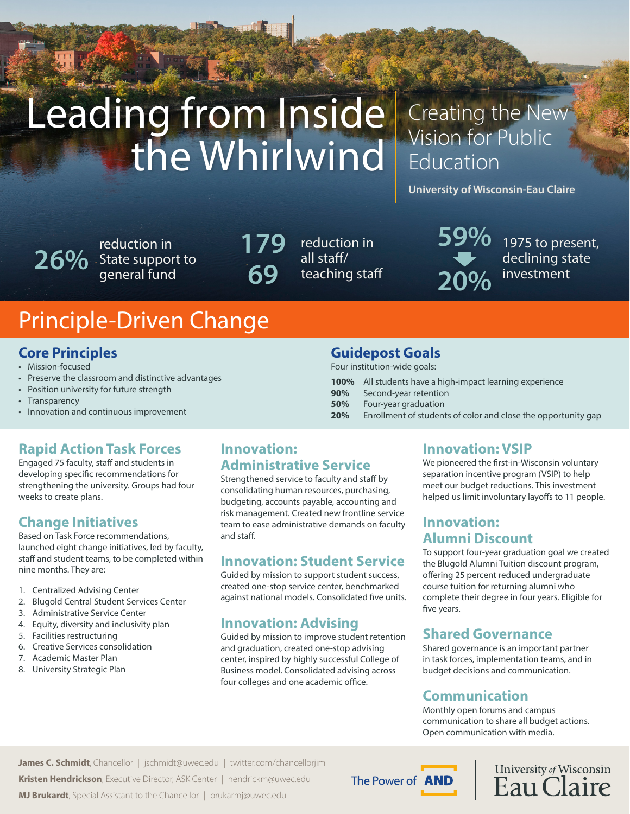# Leading from Inside the Whirlwind

Creating the New Vision for Public Education

**University of Wisconsin-Eau Claire**

**26%**

reduction in State support to general fund

**179 69**

reduction in all staff/ teaching staff

> **Guidepost Goals** Four institution-wide goals:

**90%** Second-year retention **50%** Four-year graduation

**59% 20%**

1975 to present, declining state investment

### Principle-Driven Change

#### **Core Principles**

- Mission-focused
- Preserve the classroom and distinctive advantages
- Position university for future strength
- Transparency
- Innovation and continuous improvement

#### **Rapid Action Task Forces**

Engaged 75 faculty, staff and students in developing specific recommendations for strengthening the university. Groups had four weeks to create plans.

#### **Change Initiatives**

Based on Task Force recommendations, launched eight change initiatives, led by faculty, staff and student teams, to be completed within nine months. They are:

- 1. Centralized Advising Center
- 2. Blugold Central Student Services Center
- 3. Administrative Service Center
- 4. Equity, diversity and inclusivity plan
- 5. Facilities restructuring
- 6. Creative Services consolidation
- 7. Academic Master Plan
- 8. University Strategic Plan

#### **Innovation: Administrative Service**

Strengthened service to faculty and staff by consolidating human resources, purchasing, budgeting, accounts payable, accounting and risk management. Created new frontline service team to ease administrative demands on faculty and staff.

#### **Innovation: Student Service**

Guided by mission to support student success, created one-stop service center, benchmarked against national models. Consolidated five units.

#### **Innovation: Advising**

Guided by mission to improve student retention and graduation, created one-stop advising center, inspired by highly successful College of Business model. Consolidated advising across four colleges and one academic office.

#### **Innovation: VSIP**

**20%** Enrollment of students of color and close the opportunity gap

**100%** All students have a high-impact learning experience

We pioneered the first-in-Wisconsin voluntary separation incentive program (VSIP) to help meet our budget reductions. This investment helped us limit involuntary layoffs to 11 people.

#### **Innovation: Alumni Discount**

To support four-year graduation goal we created the Blugold Alumni Tuition discount program, offering 25 percent reduced undergraduate course tuition for returning alumni who complete their degree in four years. Eligible for five years.

#### **Shared Governance**

Shared governance is an important partner in task forces, implementation teams, and in budget decisions and communication.

#### **Communication**

Monthly open forums and campus communication to share all budget actions. Open communication with media.

**James C. Schmidt**, Chancellor | jschmidt@uwec.edu | twitter.com/chancellorjim

**Kristen Hendrickson**, Executive Director, ASK Center | hendrickm@uwec.edu **MJ Brukardt**, Special Assistant to the Chancellor | brukarmj@uwec.edu

The Power of **AND**